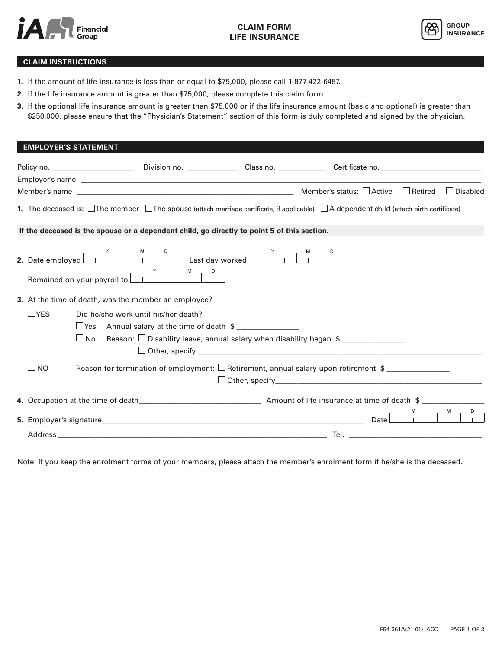



## **CLAIM INSTRUCTIONS**

- **1.** If the amount of life insurance is less than or equal to \$75,000, please call 1-877-422-6487.
- **2.** If the life insurance amount is greater than \$75,000, please complete this claim form.
- **3.** If the optional life insurance amount is greater than \$75,000 or if the life insurance amount (basic and optional) is greater than \$250,000, please ensure that the "Physician's Statement" section of this form is duly completed and signed by the physician.

| <b>EMPLOYER'S STATEMENT</b>                                                                                                                                                                                               |                                                             |                                                                                                      |  |
|---------------------------------------------------------------------------------------------------------------------------------------------------------------------------------------------------------------------------|-------------------------------------------------------------|------------------------------------------------------------------------------------------------------|--|
|                                                                                                                                                                                                                           |                                                             |                                                                                                      |  |
|                                                                                                                                                                                                                           |                                                             |                                                                                                      |  |
|                                                                                                                                                                                                                           |                                                             |                                                                                                      |  |
| <b>1.</b> The deceased is: $\Box$ The member $\Box$ The spouse (attach marriage certificate, if applicable) $\Box$ A dependent child (attach birth certificate)                                                           |                                                             |                                                                                                      |  |
| If the deceased is the spouse or a dependent child, go directly to point 5 of this section.                                                                                                                               |                                                             |                                                                                                      |  |
| Remained on your payroll to $\begin{array}{ c c c c c }\n\hline\n\end{array}$ $\begin{array}{ c c c c }\n\hline\n\end{array}$ $\begin{array}{ c c c }\n\hline\n\end{array}$ $\begin{array}{ c c c }\n\hline\n\end{array}$ |                                                             |                                                                                                      |  |
| 3. At the time of death, was the member an employee?                                                                                                                                                                      |                                                             |                                                                                                      |  |
| $\sqcup$ YES                                                                                                                                                                                                              | Did he/she work until his/her death?                        |                                                                                                      |  |
|                                                                                                                                                                                                                           | $\Box$ Yes Annual salary at the time of death $\frac{1}{2}$ |                                                                                                      |  |
| $\Box$ No                                                                                                                                                                                                                 |                                                             |                                                                                                      |  |
| $\Box$ NO                                                                                                                                                                                                                 |                                                             | Reason for termination of employment: $\Box$ Retirement, annual salary upon retirement $\quad \quad$ |  |
|                                                                                                                                                                                                                           |                                                             |                                                                                                      |  |
|                                                                                                                                                                                                                           |                                                             |                                                                                                      |  |
|                                                                                                                                                                                                                           |                                                             |                                                                                                      |  |
|                                                                                                                                                                                                                           |                                                             |                                                                                                      |  |

Note: If you keep the enrolment forms of your members, please attach the member's enrolment form if he/she is the deceased.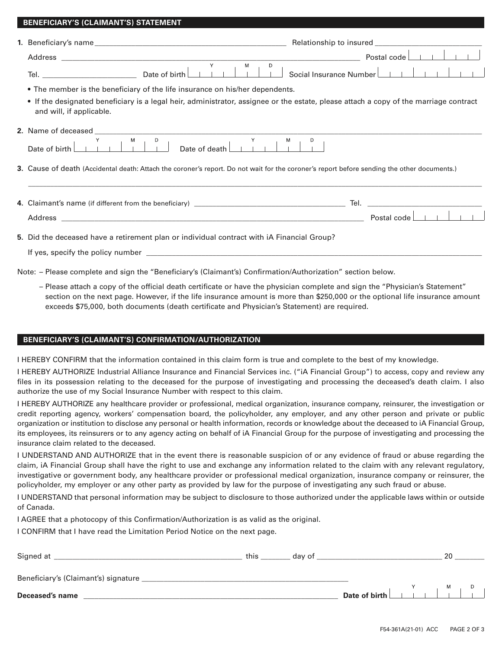| • The member is the beneficiary of the life insurance on his/her dependents.                                                                                      |                                                                                                                                                                                                                                                         |  |  |  |
|-------------------------------------------------------------------------------------------------------------------------------------------------------------------|---------------------------------------------------------------------------------------------------------------------------------------------------------------------------------------------------------------------------------------------------------|--|--|--|
| • If the designated beneficiary is a legal heir, administrator, assignee or the estate, please attach a copy of the marriage contract<br>and will, if applicable. |                                                                                                                                                                                                                                                         |  |  |  |
|                                                                                                                                                                   |                                                                                                                                                                                                                                                         |  |  |  |
|                                                                                                                                                                   | 2. Name of deceased $\begin{array}{c c c c c c c c c} \n\hline\n\end{array}$ Date of death $\begin{array}{c c c c c} \n\hline\n\end{array}$ Date of death $\begin{array}{c c c c} \n\hline\n\end{array}$ $\begin{array}{c c c c} \n\hline\n\end{array}$ |  |  |  |
|                                                                                                                                                                   | 3. Cause of death (Accidental death: Attach the coroner's report. Do not wait for the coroner's report before sending the other documents.)                                                                                                             |  |  |  |
|                                                                                                                                                                   | ,我们也不能会有什么。""我们的人,我们也不能会有什么?""我们的人,我们也不能会有什么?""我们的人,我们也不能会有什么?""我们的人,我们也不能会有什么?""                                                                                                                                                                       |  |  |  |
|                                                                                                                                                                   |                                                                                                                                                                                                                                                         |  |  |  |
|                                                                                                                                                                   |                                                                                                                                                                                                                                                         |  |  |  |
|                                                                                                                                                                   | 5. Did the deceased have a retirement plan or individual contract with iA Financial Group?                                                                                                                                                              |  |  |  |

 – Please attach a copy of the official death certificate or have the physician complete and sign the "Physician's Statement" section on the next page. However, if the life insurance amount is more than \$250,000 or the optional life insurance amount exceeds \$75,000, both documents (death certificate and Physician's Statement) are required.

## **BENEFICIARY'S (CLAIMANT'S) CONFIRMATION/AUTHORIZATION**

 **BENEFICIARY'S (CLAIMANT'S) STATEMENT**

I HEREBY CONFIRM that the information contained in this claim form is true and complete to the best of my knowledge.

I HEREBY AUTHORIZE Industrial Alliance Insurance and Financial Services inc. ("iA Financial Group") to access, copy and review any files in its possession relating to the deceased for the purpose of investigating and processing the deceased's death claim. I also authorize the use of my Social Insurance Number with respect to this claim.

I HEREBY AUTHORIZE any healthcare provider or professional, medical organization, insurance company, reinsurer, the investigation or credit reporting agency, workers' compensation board, the policyholder, any employer, and any other person and private or public organization or institution to disclose any personal or health information, records or knowledge about the deceased to iA Financial Group, its employees, its reinsurers or to any agency acting on behalf of iA Financial Group for the purpose of investigating and processing the insurance claim related to the deceased.

I UNDERSTAND AND AUTHORIZE that in the event there is reasonable suspicion of or any evidence of fraud or abuse regarding the claim, iA Financial Group shall have the right to use and exchange any information related to the claim with any relevant regulatory, investigative or government body, any healthcare provider or professional medical organization, insurance company or reinsurer, the policyholder, my employer or any other party as provided by law for the purpose of investigating any such fraud or abuse.

I UNDERSTAND that personal information may be subject to disclosure to those authorized under the applicable laws within or outside of Canada.

I AGREE that a photocopy of this Confirmation/Authorization is as valid as the original.

I CONFIRM that I have read the Limitation Period Notice on the next page.

| Signed at                            | this | dav of |  | 20 |  |
|--------------------------------------|------|--------|--|----|--|
| Beneficiary's (Claimant's) signature |      |        |  |    |  |
| Deceased's name                      |      |        |  |    |  |